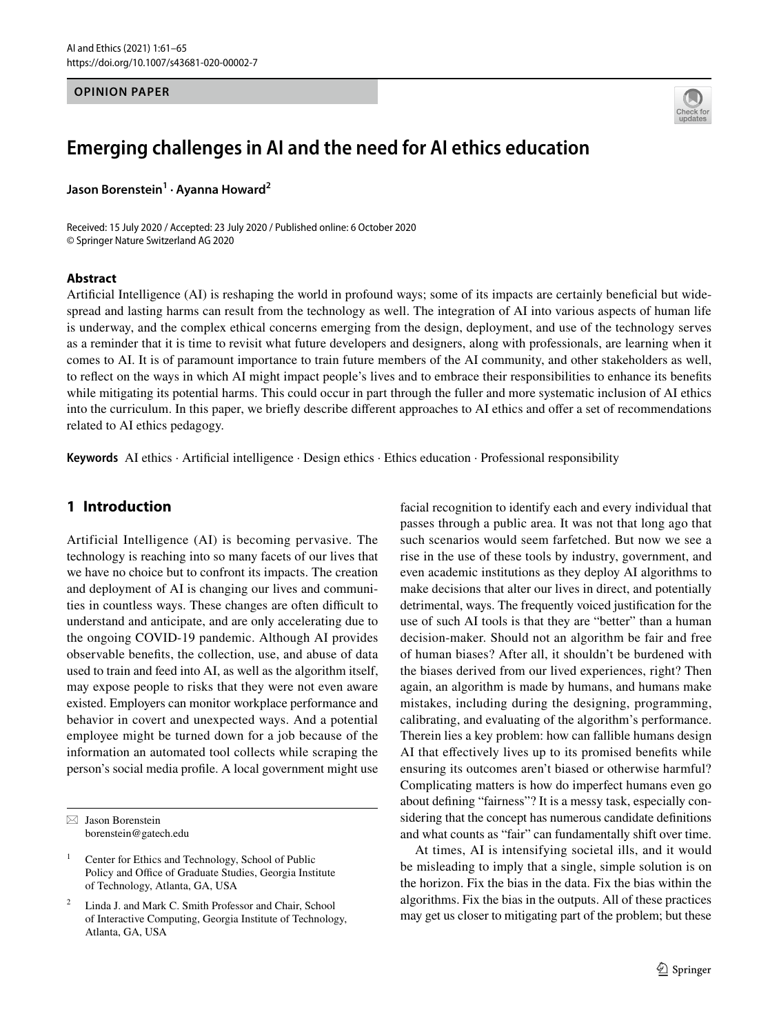#### **OPINION PAPER**



# **Emerging challenges in AI and the need for AI ethics education**

**Jason Borenstein<sup>1</sup> · Ayanna Howard<sup>2</sup>**

Received: 15 July 2020 / Accepted: 23 July 2020 / Published online: 6 October 2020 © Springer Nature Switzerland AG 2020

## **Abstract**

Artifcial Intelligence (AI) is reshaping the world in profound ways; some of its impacts are certainly benefcial but widespread and lasting harms can result from the technology as well. The integration of AI into various aspects of human life is underway, and the complex ethical concerns emerging from the design, deployment, and use of the technology serves as a reminder that it is time to revisit what future developers and designers, along with professionals, are learning when it comes to AI. It is of paramount importance to train future members of the AI community, and other stakeholders as well, to refect on the ways in which AI might impact people's lives and to embrace their responsibilities to enhance its benefts while mitigating its potential harms. This could occur in part through the fuller and more systematic inclusion of AI ethics into the curriculum. In this paper, we briefy describe diferent approaches to AI ethics and ofer a set of recommendations related to AI ethics pedagogy.

**Keywords** AI ethics · Artifcial intelligence · Design ethics · Ethics education · Professional responsibility

## **1 Introduction**

Artificial Intelligence (AI) is becoming pervasive. The technology is reaching into so many facets of our lives that we have no choice but to confront its impacts. The creation and deployment of AI is changing our lives and communities in countless ways. These changes are often difficult to understand and anticipate, and are only accelerating due to the ongoing COVID-19 pandemic. Although AI provides observable benefts, the collection, use, and abuse of data used to train and feed into AI, as well as the algorithm itself, may expose people to risks that they were not even aware existed. Employers can monitor workplace performance and behavior in covert and unexpected ways. And a potential employee might be turned down for a job because of the information an automated tool collects while scraping the person's social media profle. A local government might use facial recognition to identify each and every individual that passes through a public area. It was not that long ago that such scenarios would seem farfetched. But now we see a rise in the use of these tools by industry, government, and even academic institutions as they deploy AI algorithms to make decisions that alter our lives in direct, and potentially detrimental, ways. The frequently voiced justifcation for the use of such AI tools is that they are "better" than a human decision-maker. Should not an algorithm be fair and free of human biases? After all, it shouldn't be burdened with the biases derived from our lived experiences, right? Then again, an algorithm is made by humans, and humans make mistakes, including during the designing, programming, calibrating, and evaluating of the algorithm's performance. Therein lies a key problem: how can fallible humans design AI that efectively lives up to its promised benefts while ensuring its outcomes aren't biased or otherwise harmful? Complicating matters is how do imperfect humans even go about defning "fairness"? It is a messy task, especially considering that the concept has numerous candidate defnitions and what counts as "fair" can fundamentally shift over time.

At times, AI is intensifying societal ills, and it would be misleading to imply that a single, simple solution is on the horizon. Fix the bias in the data. Fix the bias within the algorithms. Fix the bias in the outputs. All of these practices may get us closer to mitigating part of the problem; but these

 $\boxtimes$  Jason Borenstein borenstein@gatech.edu

<sup>&</sup>lt;sup>1</sup> Center for Ethics and Technology, School of Public Policy and Office of Graduate Studies, Georgia Institute of Technology, Atlanta, GA, USA

Linda J. and Mark C. Smith Professor and Chair, School of Interactive Computing, Georgia Institute of Technology, Atlanta, GA, USA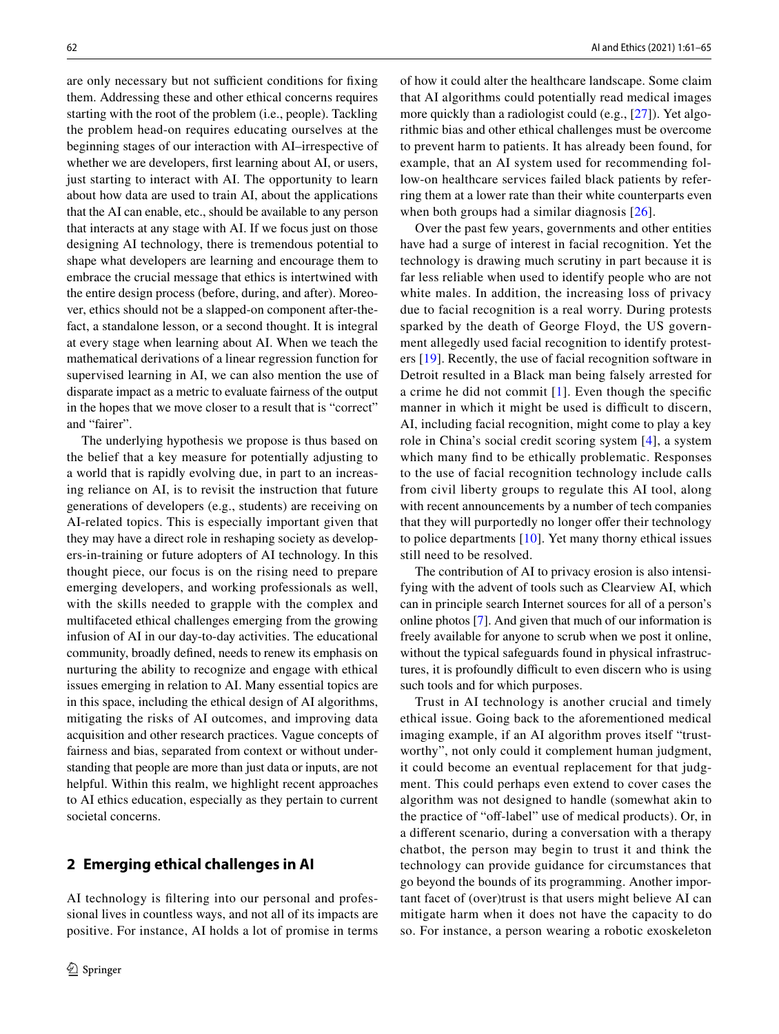are only necessary but not sufficient conditions for fixing them. Addressing these and other ethical concerns requires starting with the root of the problem (i.e., people). Tackling the problem head-on requires educating ourselves at the beginning stages of our interaction with AI–irrespective of whether we are developers, frst learning about AI, or users, just starting to interact with AI. The opportunity to learn about how data are used to train AI, about the applications that the AI can enable, etc., should be available to any person that interacts at any stage with AI. If we focus just on those designing AI technology, there is tremendous potential to shape what developers are learning and encourage them to embrace the crucial message that ethics is intertwined with the entire design process (before, during, and after). Moreover, ethics should not be a slapped-on component after-thefact, a standalone lesson, or a second thought. It is integral at every stage when learning about AI. When we teach the mathematical derivations of a linear regression function for supervised learning in AI, we can also mention the use of disparate impact as a metric to evaluate fairness of the output in the hopes that we move closer to a result that is "correct" and "fairer".

The underlying hypothesis we propose is thus based on the belief that a key measure for potentially adjusting to a world that is rapidly evolving due, in part to an increasing reliance on AI, is to revisit the instruction that future generations of developers (e.g., students) are receiving on AI-related topics. This is especially important given that they may have a direct role in reshaping society as developers-in-training or future adopters of AI technology. In this thought piece, our focus is on the rising need to prepare emerging developers, and working professionals as well, with the skills needed to grapple with the complex and multifaceted ethical challenges emerging from the growing infusion of AI in our day-to-day activities. The educational community, broadly defned, needs to renew its emphasis on nurturing the ability to recognize and engage with ethical issues emerging in relation to AI. Many essential topics are in this space, including the ethical design of AI algorithms, mitigating the risks of AI outcomes, and improving data acquisition and other research practices. Vague concepts of fairness and bias, separated from context or without understanding that people are more than just data or inputs, are not helpful. Within this realm, we highlight recent approaches to AI ethics education, especially as they pertain to current societal concerns.

## **2 Emerging ethical challenges in AI**

AI technology is fltering into our personal and professional lives in countless ways, and not all of its impacts are positive. For instance, AI holds a lot of promise in terms of how it could alter the healthcare landscape. Some claim that AI algorithms could potentially read medical images more quickly than a radiologist could (e.g., [\[27\]](#page-4-0)). Yet algorithmic bias and other ethical challenges must be overcome to prevent harm to patients. It has already been found, for example, that an AI system used for recommending follow-on healthcare services failed black patients by referring them at a lower rate than their white counterparts even when both groups had a similar diagnosis [\[26\]](#page-4-1).

Over the past few years, governments and other entities have had a surge of interest in facial recognition. Yet the technology is drawing much scrutiny in part because it is far less reliable when used to identify people who are not white males. In addition, the increasing loss of privacy due to facial recognition is a real worry. During protests sparked by the death of George Floyd, the US government allegedly used facial recognition to identify protesters [[19](#page-4-2)]. Recently, the use of facial recognition software in Detroit resulted in a Black man being falsely arrested for a crime he did not commit [\[1](#page-4-3)]. Even though the specifc manner in which it might be used is difficult to discern, AI, including facial recognition, might come to play a key role in China's social credit scoring system [[4](#page-4-4)], a system which many fnd to be ethically problematic. Responses to the use of facial recognition technology include calls from civil liberty groups to regulate this AI tool, along with recent announcements by a number of tech companies that they will purportedly no longer offer their technology to police departments [\[10\]](#page-4-5). Yet many thorny ethical issues still need to be resolved.

The contribution of AI to privacy erosion is also intensifying with the advent of tools such as Clearview AI, which can in principle search Internet sources for all of a person's online photos [\[7](#page-4-6)]. And given that much of our information is freely available for anyone to scrub when we post it online, without the typical safeguards found in physical infrastructures, it is profoundly difficult to even discern who is using such tools and for which purposes.

Trust in AI technology is another crucial and timely ethical issue. Going back to the aforementioned medical imaging example, if an AI algorithm proves itself "trustworthy", not only could it complement human judgment, it could become an eventual replacement for that judgment. This could perhaps even extend to cover cases the algorithm was not designed to handle (somewhat akin to the practice of "off-label" use of medical products). Or, in a diferent scenario, during a conversation with a therapy chatbot, the person may begin to trust it and think the technology can provide guidance for circumstances that go beyond the bounds of its programming. Another important facet of (over)trust is that users might believe AI can mitigate harm when it does not have the capacity to do so. For instance, a person wearing a robotic exoskeleton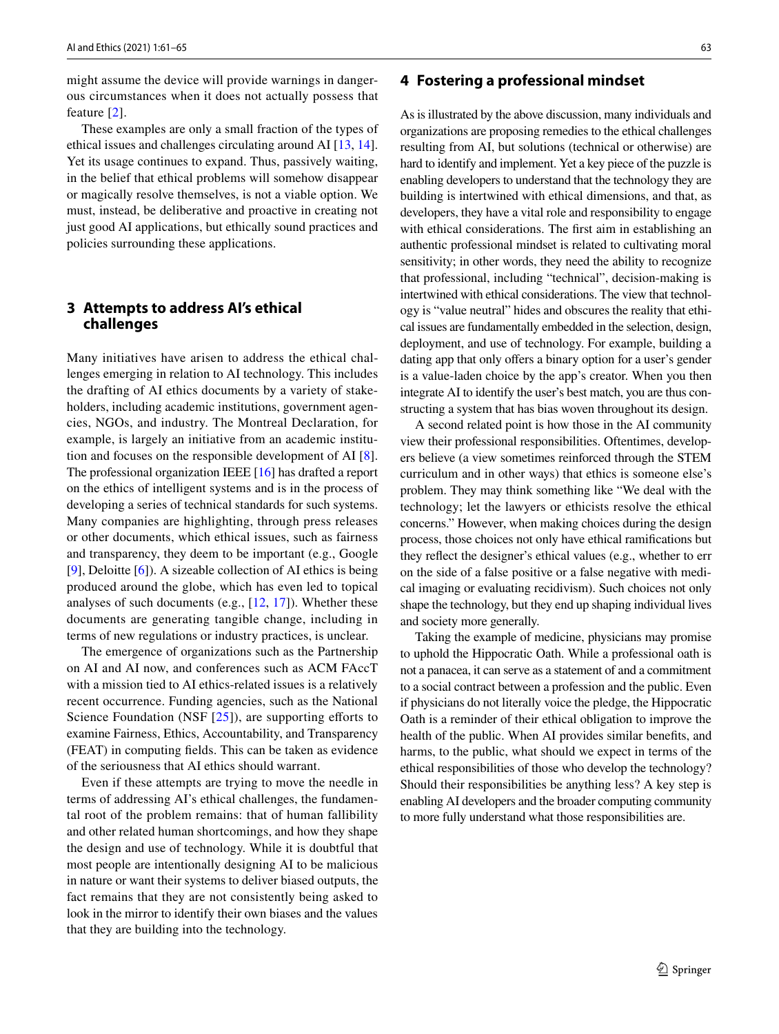might assume the device will provide warnings in dangerous circumstances when it does not actually possess that feature [[2](#page-4-7)].

These examples are only a small fraction of the types of ethical issues and challenges circulating around AI [\[13,](#page-4-8) [14](#page-4-9)]. Yet its usage continues to expand. Thus, passively waiting, in the belief that ethical problems will somehow disappear or magically resolve themselves, is not a viable option. We must, instead, be deliberative and proactive in creating not just good AI applications, but ethically sound practices and policies surrounding these applications.

## **3 Attempts to address AI's ethical challenges**

Many initiatives have arisen to address the ethical challenges emerging in relation to AI technology. This includes the drafting of AI ethics documents by a variety of stakeholders, including academic institutions, government agencies, NGOs, and industry. The Montreal Declaration, for example, is largely an initiative from an academic institution and focuses on the responsible development of AI [\[8](#page-4-10)]. The professional organization IEEE [\[16](#page-4-11)] has drafted a report on the ethics of intelligent systems and is in the process of developing a series of technical standards for such systems. Many companies are highlighting, through press releases or other documents, which ethical issues, such as fairness and transparency, they deem to be important (e.g., Google [\[9](#page-4-12)], Deloitte [[6\]](#page-4-13)). A sizeable collection of AI ethics is being produced around the globe, which has even led to topical analyses of such documents (e.g., [\[12](#page-4-14), [17\]](#page-4-15)). Whether these documents are generating tangible change, including in terms of new regulations or industry practices, is unclear.

The emergence of organizations such as the Partnership on AI and AI now, and conferences such as ACM FAccT with a mission tied to AI ethics-related issues is a relatively recent occurrence. Funding agencies, such as the National Science Foundation (NSF  $[25]$ ), are supporting efforts to examine Fairness, Ethics, Accountability, and Transparency (FEAT) in computing felds. This can be taken as evidence of the seriousness that AI ethics should warrant.

Even if these attempts are trying to move the needle in terms of addressing AI's ethical challenges, the fundamental root of the problem remains: that of human fallibility and other related human shortcomings, and how they shape the design and use of technology. While it is doubtful that most people are intentionally designing AI to be malicious in nature or want their systems to deliver biased outputs, the fact remains that they are not consistently being asked to look in the mirror to identify their own biases and the values that they are building into the technology.

## **4 Fostering a professional mindset**

As is illustrated by the above discussion, many individuals and organizations are proposing remedies to the ethical challenges resulting from AI, but solutions (technical or otherwise) are hard to identify and implement. Yet a key piece of the puzzle is enabling developers to understand that the technology they are building is intertwined with ethical dimensions, and that, as developers, they have a vital role and responsibility to engage with ethical considerations. The frst aim in establishing an authentic professional mindset is related to cultivating moral sensitivity; in other words, they need the ability to recognize that professional, including "technical", decision-making is intertwined with ethical considerations. The view that technology is "value neutral" hides and obscures the reality that ethical issues are fundamentally embedded in the selection, design, deployment, and use of technology. For example, building a dating app that only offers a binary option for a user's gender is a value-laden choice by the app's creator. When you then integrate AI to identify the user's best match, you are thus constructing a system that has bias woven throughout its design.

A second related point is how those in the AI community view their professional responsibilities. Oftentimes, developers believe (a view sometimes reinforced through the STEM curriculum and in other ways) that ethics is someone else's problem. They may think something like "We deal with the technology; let the lawyers or ethicists resolve the ethical concerns." However, when making choices during the design process, those choices not only have ethical ramifcations but they refect the designer's ethical values (e.g., whether to err on the side of a false positive or a false negative with medical imaging or evaluating recidivism). Such choices not only shape the technology, but they end up shaping individual lives and society more generally.

Taking the example of medicine, physicians may promise to uphold the Hippocratic Oath. While a professional oath is not a panacea, it can serve as a statement of and a commitment to a social contract between a profession and the public. Even if physicians do not literally voice the pledge, the Hippocratic Oath is a reminder of their ethical obligation to improve the health of the public. When AI provides similar benefts, and harms, to the public, what should we expect in terms of the ethical responsibilities of those who develop the technology? Should their responsibilities be anything less? A key step is enabling AI developers and the broader computing community to more fully understand what those responsibilities are.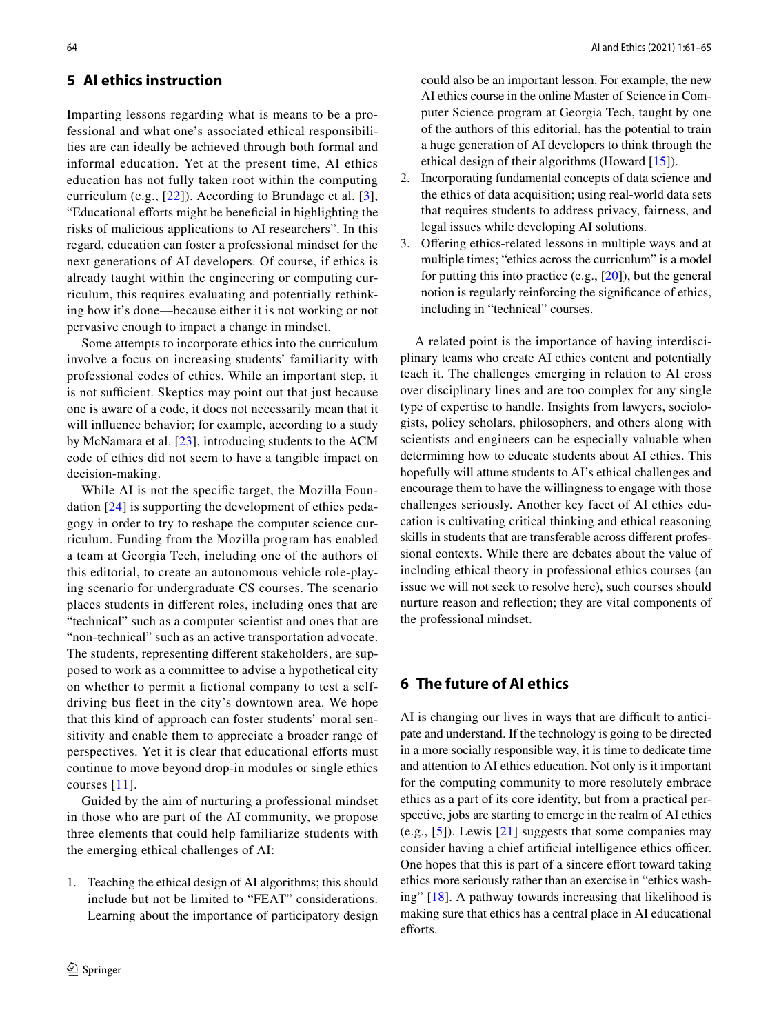#### **5 AI ethics instruction**

Imparting lessons regarding what is means to be a professional and what one's associated ethical responsibilities are can ideally be achieved through both formal and informal education. Yet at the present time, AI ethics education has not fully taken root within the computing curriculum (e.g., [[22](#page-4-17)]). According to Brundage et al. [[3](#page-4-18)], "Educational eforts might be benefcial in highlighting the risks of malicious applications to AI researchers". In this regard, education can foster a professional mindset for the next generations of AI developers. Of course, if ethics is already taught within the engineering or computing curriculum, this requires evaluating and potentially rethinking how it's done—because either it is not working or not pervasive enough to impact a change in mindset.

Some attempts to incorporate ethics into the curriculum involve a focus on increasing students' familiarity with professional codes of ethics. While an important step, it is not sufficient. Skeptics may point out that just because one is aware of a code, it does not necessarily mean that it will infuence behavior; for example, according to a study by McNamara et al. [[23](#page-4-19)], introducing students to the ACM code of ethics did not seem to have a tangible impact on decision-making.

While AI is not the specifc target, the Mozilla Foundation [\[24\]](#page-4-20) is supporting the development of ethics pedagogy in order to try to reshape the computer science curriculum. Funding from the Mozilla program has enabled a team at Georgia Tech, including one of the authors of this editorial, to create an autonomous vehicle role-playing scenario for undergraduate CS courses. The scenario places students in diferent roles, including ones that are "technical" such as a computer scientist and ones that are "non-technical" such as an active transportation advocate. The students, representing diferent stakeholders, are supposed to work as a committee to advise a hypothetical city on whether to permit a fictional company to test a selfdriving bus feet in the city's downtown area. We hope that this kind of approach can foster students' moral sensitivity and enable them to appreciate a broader range of perspectives. Yet it is clear that educational eforts must continue to move beyond drop-in modules or single ethics courses [\[11\]](#page-4-21).

Guided by the aim of nurturing a professional mindset in those who are part of the AI community, we propose three elements that could help familiarize students with the emerging ethical challenges of AI:

1. Teaching the ethical design of AI algorithms; this should include but not be limited to "FEAT" considerations. Learning about the importance of participatory design

could also be an important lesson. For example, the new AI ethics course in the online Master of Science in Computer Science program at Georgia Tech, taught by one of the authors of this editorial, has the potential to train a huge generation of AI developers to think through the ethical design of their algorithms (Howard [\[15\]](#page-4-22)).

- 2. Incorporating fundamental concepts of data science and the ethics of data acquisition; using real-world data sets that requires students to address privacy, fairness, and legal issues while developing AI solutions.
- 3. Ofering ethics-related lessons in multiple ways and at multiple times; "ethics across the curriculum" is a model for putting this into practice  $(e.g., [20])$  $(e.g., [20])$  $(e.g., [20])$ , but the general notion is regularly reinforcing the signifcance of ethics, including in "technical" courses.

A related point is the importance of having interdisciplinary teams who create AI ethics content and potentially teach it. The challenges emerging in relation to AI cross over disciplinary lines and are too complex for any single type of expertise to handle. Insights from lawyers, sociologists, policy scholars, philosophers, and others along with scientists and engineers can be especially valuable when determining how to educate students about AI ethics. This hopefully will attune students to AI's ethical challenges and encourage them to have the willingness to engage with those challenges seriously. Another key facet of AI ethics education is cultivating critical thinking and ethical reasoning skills in students that are transferable across diferent professional contexts. While there are debates about the value of including ethical theory in professional ethics courses (an issue we will not seek to resolve here), such courses should nurture reason and refection; they are vital components of the professional mindset.

## **6 The future of AI ethics**

AI is changing our lives in ways that are difficult to anticipate and understand. If the technology is going to be directed in a more socially responsible way, it is time to dedicate time and attention to AI ethics education. Not only is it important for the computing community to more resolutely embrace ethics as a part of its core identity, but from a practical perspective, jobs are starting to emerge in the realm of AI ethics (e.g., [[5\]](#page-4-24)). Lewis [[21\]](#page-4-25) suggests that some companies may consider having a chief artificial intelligence ethics officer. One hopes that this is part of a sincere effort toward taking ethics more seriously rather than an exercise in "ethics washing" [[18](#page-4-26)]. A pathway towards increasing that likelihood is making sure that ethics has a central place in AI educational efforts.